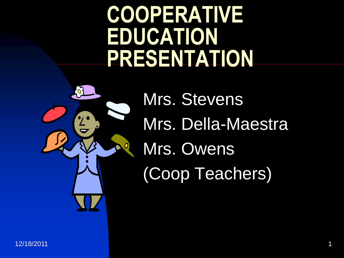### **COOPERATIVE EDUCATION PRESENTATION**



Mrs. Stevens Mrs. Della-Maestra Mrs. Owens (Coop Teachers)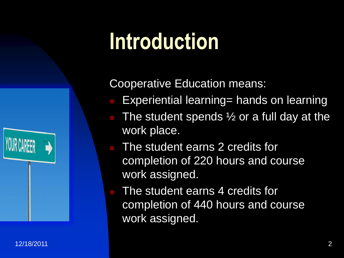# **Introduction**

Cooperative Education means:

- Experiential learning= hands on learning
- The student spends  $\frac{1}{2}$  or a full day at the work place.
- The student earns 2 credits for completion of 220 hours and course work assigned.
- The student earns 4 credits for completion of 440 hours and course work assigned.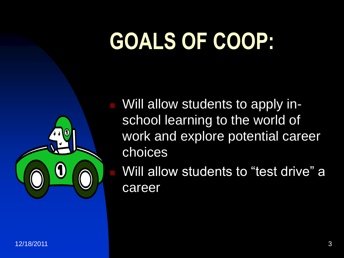# **GOALS OF COOP:**



 Will allow students to apply inschool learning to the world of work and explore potential career choices

 Will allow students to "test drive" a career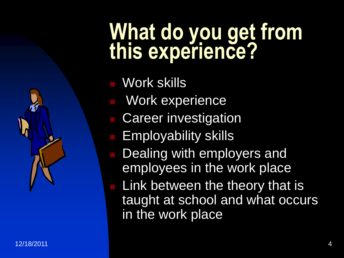### **What do you get from this experience?**

- Work skills
- Work experience
- **Career investigation**
- **Employability skills** 
	- Dealing with employers and employees in the work place
	- Link between the theory that is taught at school and what occurs in the work place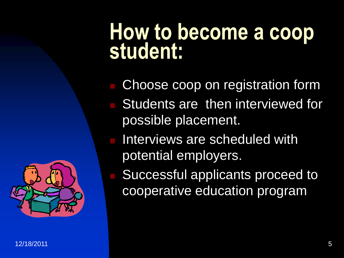### **How to become a coop student:**

- Choose coop on registration form Students are then interviewed for possible placement.
- Interviews are scheduled with potential employers.
	- Successful applicants proceed to cooperative education program

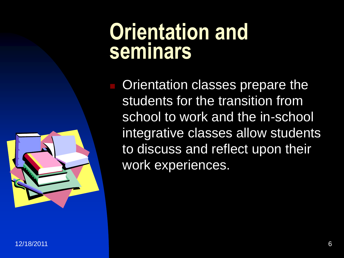### **Orientation and seminars**

 Orientation classes prepare the students for the transition from school to work and the in-school integrative classes allow students to discuss and reflect upon their work experiences.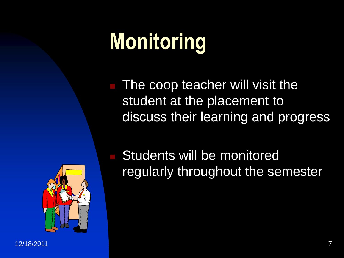# **Monitoring**

 The coop teacher will visit the student at the placement to discuss their learning and progress



 Students will be monitored regularly throughout the semester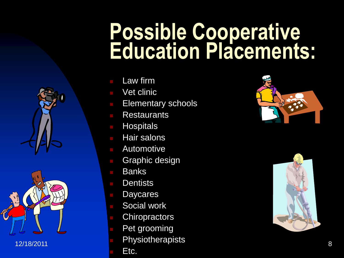### **Possible Cooperative Education Placements:**

- Law firm
- Vet clinic
- Elementary schools
- **Restaurants**
- **Hospitals**
- Hair salons
- Automotive
- Graphic design
- **Banks**
- **Dentists**
- **Daycares**
- Social work
	- **Chiropractors**
	- Pet grooming
- $12/18/2011$  and  $8$ **Physiotherapists** 
	- Etc.



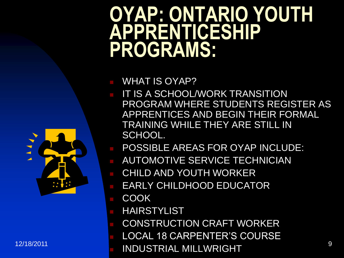### **OYAP: ONTARIO YOUTH APPRENTICESHIP PROGRAMS:**

#### WHAT IS OYAP?

- IT IS A SCHOOL/WORK TRANSITION PROGRAM WHERE STUDENTS REGISTER AS APPRENTICES AND BEGIN THEIR FORMAL TRAINING WHILE THEY ARE STILL IN SCHOOL.
- POSSIBLE AREAS FOR OYAP INCLUDE:
- AUTOMOTIVE SERVICE TECHNICIAN
- CHILD AND YOUTH WORKER
- EARLY CHILDHOOD EDUCATOR
- COOK
- HAIRSTYLIST
- CONSTRUCTION CRAFT WORKER
	- LOCAL 18 CARPENTER'S COURSE
- 12/18/2011 **12/18/2011** INDUSTRIAL MILLWRIGHT

 $\begin{array}{c}\n\bullet & \bullet & \bullet \\
\bullet & \bullet & \bullet\n\end{array}$ 

 $\blacktriangle$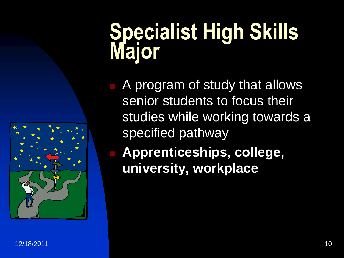### **Specialist High Skills Major**



 **Apprenticeships, college, university, workplace**

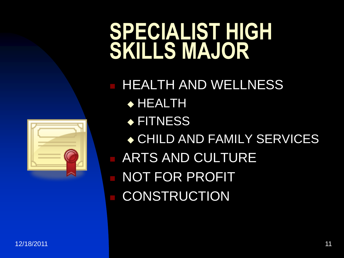### **SPECIALIST HIGH SKILLS MAJOR**



 HEALTH AND WELLNESS HEALTH ◆ FITNESS ◆ CHILD AND FAMILY SERVICES ARTS AND CULTURE NOT FOR PROFIT **CONSTRUCTION**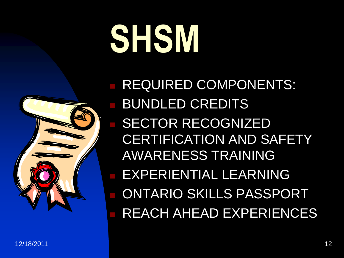# **SHSM**



 REQUIRED COMPONENTS: BUNDLED CREDITS SECTOR RECOGNIZED CERTIFICATION AND SAFETY AWARENESS TRAINING EXPERIENTIAL LEARNING ONTARIO SKILLS PASSPORT REACH AHEAD EXPERIENCES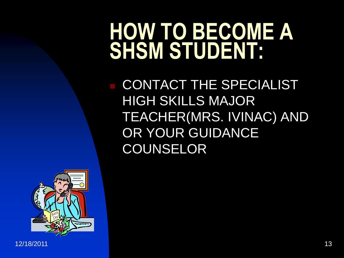### **HOW TO BECOME A SHSM STUDENT:**

 CONTACT THE SPECIALIST HIGH SKILLS MAJOR TEACHER(MRS. IVINAC) AND OR YOUR GUIDANCE COUNSELOR

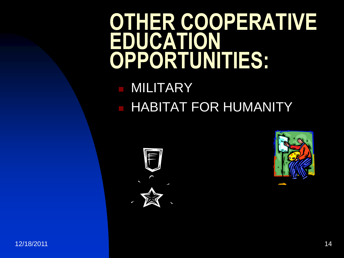### **OTHER COOPERATIVE EDUCATION OPPORTUNITIES:**

### MILITARY **HABITAT FOR HUMANITY**